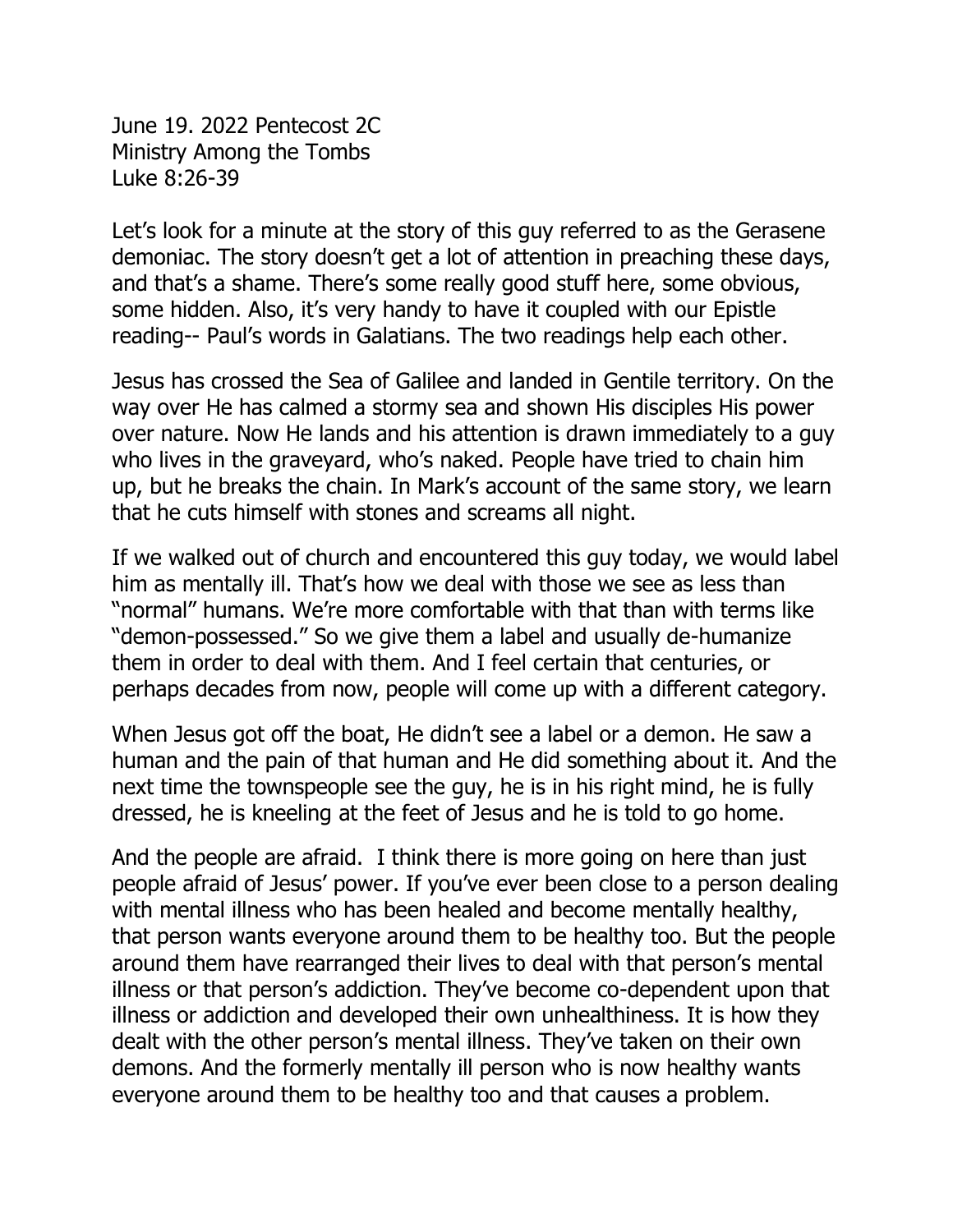June 19. 2022 Pentecost 2C Ministry Among the Tombs Luke 8:26-39

Let's look for a minute at the story of this guy referred to as the Gerasene demoniac. The story doesn't get a lot of attention in preaching these days, and that's a shame. There's some really good stuff here, some obvious, some hidden. Also, it's very handy to have it coupled with our Epistle reading-- Paul's words in Galatians. The two readings help each other.

Jesus has crossed the Sea of Galilee and landed in Gentile territory. On the way over He has calmed a stormy sea and shown His disciples His power over nature. Now He lands and his attention is drawn immediately to a guy who lives in the graveyard, who's naked. People have tried to chain him up, but he breaks the chain. In Mark's account of the same story, we learn that he cuts himself with stones and screams all night.

If we walked out of church and encountered this guy today, we would label him as mentally ill. That's how we deal with those we see as less than "normal" humans. We're more comfortable with that than with terms like "demon-possessed." So we give them a label and usually de-humanize them in order to deal with them. And I feel certain that centuries, or perhaps decades from now, people will come up with a different category.

When Jesus got off the boat, He didn't see a label or a demon. He saw a human and the pain of that human and He did something about it. And the next time the townspeople see the guy, he is in his right mind, he is fully dressed, he is kneeling at the feet of Jesus and he is told to go home.

And the people are afraid. I think there is more going on here than just people afraid of Jesus' power. If you've ever been close to a person dealing with mental illness who has been healed and become mentally healthy, that person wants everyone around them to be healthy too. But the people around them have rearranged their lives to deal with that person's mental illness or that person's addiction. They've become co-dependent upon that illness or addiction and developed their own unhealthiness. It is how they dealt with the other person's mental illness. They've taken on their own demons. And the formerly mentally ill person who is now healthy wants everyone around them to be healthy too and that causes a problem.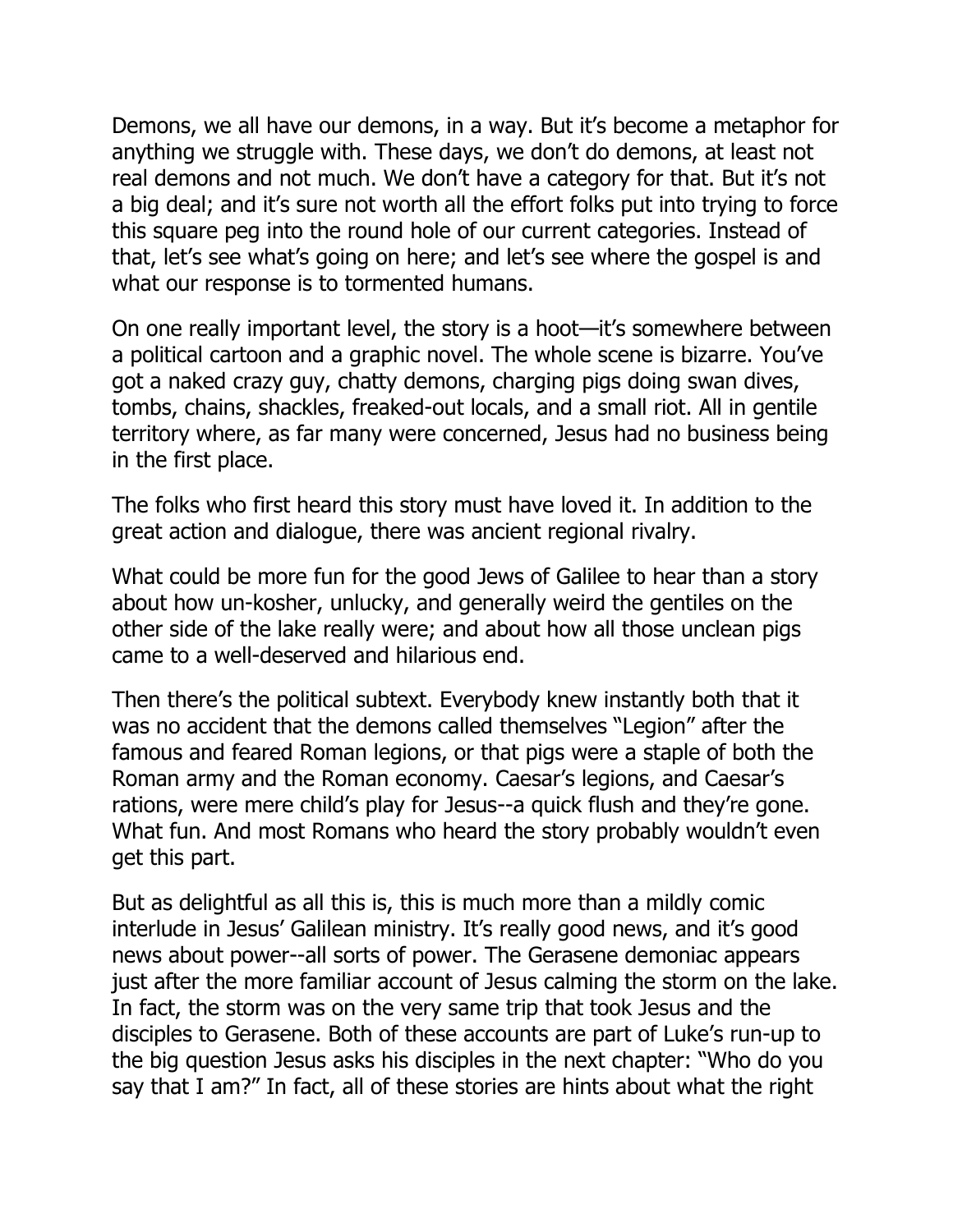Demons, we all have our demons, in a way. But it's become a metaphor for anything we struggle with. These days, we don't do demons, at least not real demons and not much. We don't have a category for that. But it's not a big deal; and it's sure not worth all the effort folks put into trying to force this square peg into the round hole of our current categories. Instead of that, let's see what's going on here; and let's see where the gospel is and what our response is to tormented humans.

On one really important level, the story is a hoot—it's somewhere between a political cartoon and a graphic novel. The whole scene is bizarre. You've got a naked crazy guy, chatty demons, charging pigs doing swan dives, tombs, chains, shackles, freaked-out locals, and a small riot. All in gentile territory where, as far many were concerned, Jesus had no business being in the first place.

The folks who first heard this story must have loved it. In addition to the great action and dialogue, there was ancient regional rivalry.

What could be more fun for the good Jews of Galilee to hear than a story about how un-kosher, unlucky, and generally weird the gentiles on the other side of the lake really were; and about how all those unclean pigs came to a well-deserved and hilarious end.

Then there's the political subtext. Everybody knew instantly both that it was no accident that the demons called themselves "Legion" after the famous and feared Roman legions, or that pigs were a staple of both the Roman army and the Roman economy. Caesar's legions, and Caesar's rations, were mere child's play for Jesus--a quick flush and they're gone. What fun. And most Romans who heard the story probably wouldn't even get this part.

But as delightful as all this is, this is much more than a mildly comic interlude in Jesus' Galilean ministry. It's really good news, and it's good news about power--all sorts of power. The Gerasene demoniac appears just after the more familiar account of Jesus calming the storm on the lake. In fact, the storm was on the very same trip that took Jesus and the disciples to Gerasene. Both of these accounts are part of Luke's run-up to the big question Jesus asks his disciples in the next chapter: "Who do you say that I am?" In fact, all of these stories are hints about what the right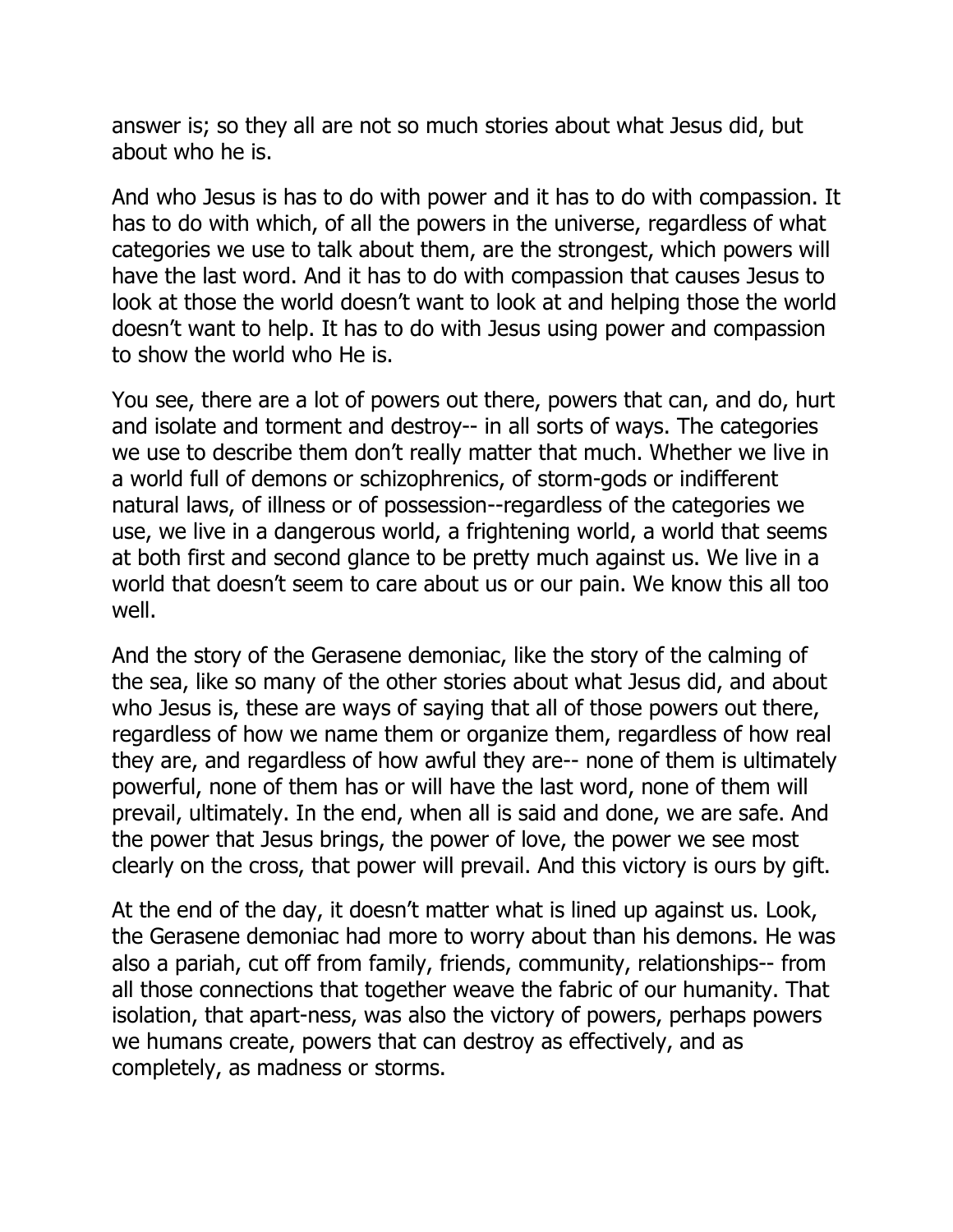answer is; so they all are not so much stories about what Jesus did, but about who he is.

And who Jesus is has to do with power and it has to do with compassion. It has to do with which, of all the powers in the universe, regardless of what categories we use to talk about them, are the strongest, which powers will have the last word. And it has to do with compassion that causes Jesus to look at those the world doesn't want to look at and helping those the world doesn't want to help. It has to do with Jesus using power and compassion to show the world who He is.

You see, there are a lot of powers out there, powers that can, and do, hurt and isolate and torment and destroy-- in all sorts of ways. The categories we use to describe them don't really matter that much. Whether we live in a world full of demons or schizophrenics, of storm-gods or indifferent natural laws, of illness or of possession--regardless of the categories we use, we live in a dangerous world, a frightening world, a world that seems at both first and second glance to be pretty much against us. We live in a world that doesn't seem to care about us or our pain. We know this all too well.

And the story of the Gerasene demoniac, like the story of the calming of the sea, like so many of the other stories about what Jesus did, and about who Jesus is, these are ways of saying that all of those powers out there, regardless of how we name them or organize them, regardless of how real they are, and regardless of how awful they are-- none of them is ultimately powerful, none of them has or will have the last word, none of them will prevail, ultimately. In the end, when all is said and done, we are safe. And the power that Jesus brings, the power of love, the power we see most clearly on the cross, that power will prevail. And this victory is ours by gift.

At the end of the day, it doesn't matter what is lined up against us. Look, the Gerasene demoniac had more to worry about than his demons. He was also a pariah, cut off from family, friends, community, relationships-- from all those connections that together weave the fabric of our humanity. That isolation, that apart-ness, was also the victory of powers, perhaps powers we humans create, powers that can destroy as effectively, and as completely, as madness or storms.